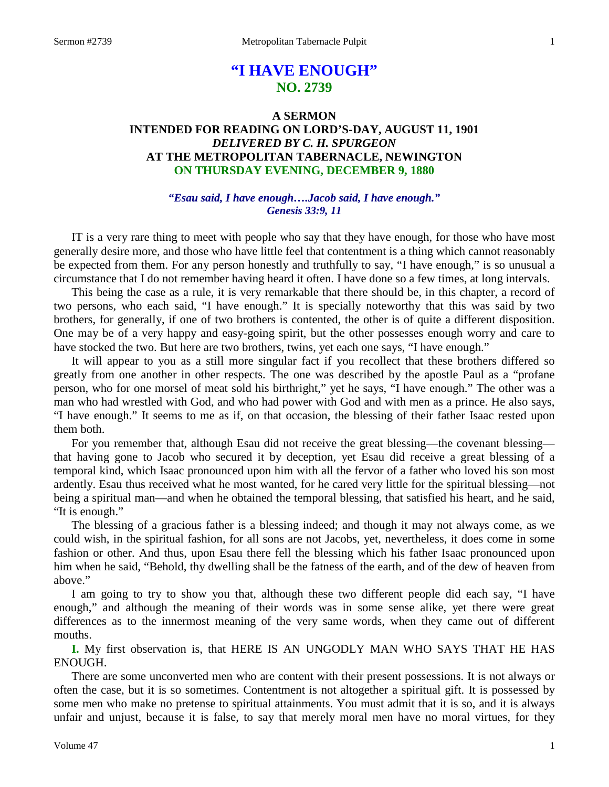# **"I HAVE ENOUGH" NO. 2739**

## **A SERMON INTENDED FOR READING ON LORD'S-DAY, AUGUST 11, 1901** *DELIVERED BY C. H. SPURGEON* **AT THE METROPOLITAN TABERNACLE, NEWINGTON ON THURSDAY EVENING, DECEMBER 9, 1880**

## *"Esau said, I have enough….Jacob said, I have enough." Genesis 33:9, 11*

IT is a very rare thing to meet with people who say that they have enough, for those who have most generally desire more, and those who have little feel that contentment is a thing which cannot reasonably be expected from them. For any person honestly and truthfully to say, "I have enough," is so unusual a circumstance that I do not remember having heard it often. I have done so a few times, at long intervals.

This being the case as a rule, it is very remarkable that there should be, in this chapter, a record of two persons, who each said, "I have enough." It is specially noteworthy that this was said by two brothers, for generally, if one of two brothers is contented, the other is of quite a different disposition. One may be of a very happy and easy-going spirit, but the other possesses enough worry and care to have stocked the two. But here are two brothers, twins, yet each one says, "I have enough."

It will appear to you as a still more singular fact if you recollect that these brothers differed so greatly from one another in other respects. The one was described by the apostle Paul as a "profane person, who for one morsel of meat sold his birthright," yet he says, "I have enough." The other was a man who had wrestled with God, and who had power with God and with men as a prince. He also says, "I have enough." It seems to me as if, on that occasion, the blessing of their father Isaac rested upon them both.

For you remember that, although Esau did not receive the great blessing—the covenant blessing that having gone to Jacob who secured it by deception, yet Esau did receive a great blessing of a temporal kind, which Isaac pronounced upon him with all the fervor of a father who loved his son most ardently. Esau thus received what he most wanted, for he cared very little for the spiritual blessing—not being a spiritual man—and when he obtained the temporal blessing, that satisfied his heart, and he said, "It is enough."

The blessing of a gracious father is a blessing indeed; and though it may not always come, as we could wish, in the spiritual fashion, for all sons are not Jacobs, yet, nevertheless, it does come in some fashion or other. And thus, upon Esau there fell the blessing which his father Isaac pronounced upon him when he said, "Behold, thy dwelling shall be the fatness of the earth, and of the dew of heaven from above."

I am going to try to show you that, although these two different people did each say, "I have enough," and although the meaning of their words was in some sense alike, yet there were great differences as to the innermost meaning of the very same words, when they came out of different mouths.

**I.** My first observation is, that HERE IS AN UNGODLY MAN WHO SAYS THAT HE HAS ENOUGH.

There are some unconverted men who are content with their present possessions. It is not always or often the case, but it is so sometimes. Contentment is not altogether a spiritual gift. It is possessed by some men who make no pretense to spiritual attainments. You must admit that it is so, and it is always unfair and unjust, because it is false, to say that merely moral men have no moral virtues, for they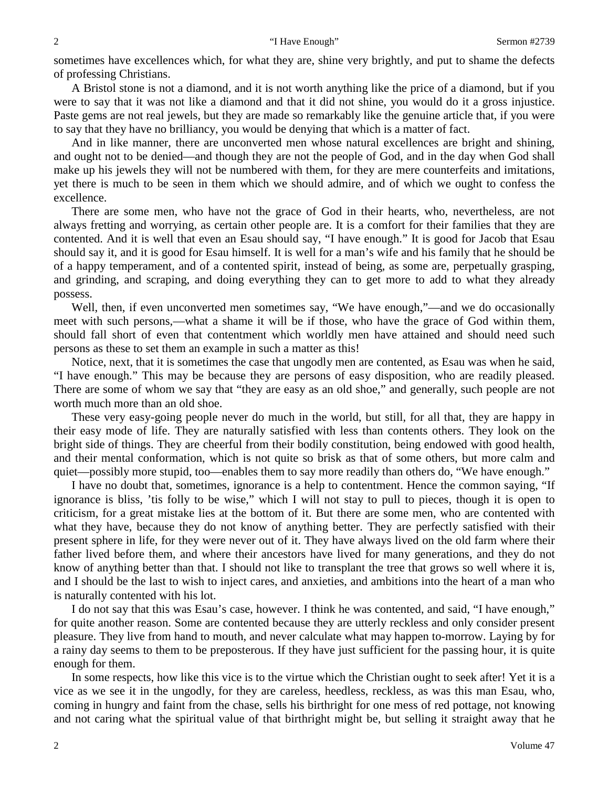sometimes have excellences which, for what they are, shine very brightly, and put to shame the defects of professing Christians.

A Bristol stone is not a diamond, and it is not worth anything like the price of a diamond, but if you were to say that it was not like a diamond and that it did not shine, you would do it a gross injustice. Paste gems are not real jewels, but they are made so remarkably like the genuine article that, if you were to say that they have no brilliancy, you would be denying that which is a matter of fact.

And in like manner, there are unconverted men whose natural excellences are bright and shining, and ought not to be denied—and though they are not the people of God, and in the day when God shall make up his jewels they will not be numbered with them, for they are mere counterfeits and imitations, yet there is much to be seen in them which we should admire, and of which we ought to confess the excellence.

There are some men, who have not the grace of God in their hearts, who, nevertheless, are not always fretting and worrying, as certain other people are. It is a comfort for their families that they are contented. And it is well that even an Esau should say, "I have enough." It is good for Jacob that Esau should say it, and it is good for Esau himself. It is well for a man's wife and his family that he should be of a happy temperament, and of a contented spirit, instead of being, as some are, perpetually grasping, and grinding, and scraping, and doing everything they can to get more to add to what they already possess.

Well, then, if even unconverted men sometimes say, "We have enough,"—and we do occasionally meet with such persons,—what a shame it will be if those, who have the grace of God within them, should fall short of even that contentment which worldly men have attained and should need such persons as these to set them an example in such a matter as this!

Notice, next, that it is sometimes the case that ungodly men are contented, as Esau was when he said, "I have enough." This may be because they are persons of easy disposition, who are readily pleased. There are some of whom we say that "they are easy as an old shoe," and generally, such people are not worth much more than an old shoe.

These very easy-going people never do much in the world, but still, for all that, they are happy in their easy mode of life. They are naturally satisfied with less than contents others. They look on the bright side of things. They are cheerful from their bodily constitution, being endowed with good health, and their mental conformation, which is not quite so brisk as that of some others, but more calm and quiet—possibly more stupid, too—enables them to say more readily than others do, "We have enough."

I have no doubt that, sometimes, ignorance is a help to contentment. Hence the common saying, "If ignorance is bliss, 'tis folly to be wise," which I will not stay to pull to pieces, though it is open to criticism, for a great mistake lies at the bottom of it. But there are some men, who are contented with what they have, because they do not know of anything better. They are perfectly satisfied with their present sphere in life, for they were never out of it. They have always lived on the old farm where their father lived before them, and where their ancestors have lived for many generations, and they do not know of anything better than that. I should not like to transplant the tree that grows so well where it is, and I should be the last to wish to inject cares, and anxieties, and ambitions into the heart of a man who is naturally contented with his lot.

I do not say that this was Esau's case, however. I think he was contented, and said, "I have enough," for quite another reason. Some are contented because they are utterly reckless and only consider present pleasure. They live from hand to mouth, and never calculate what may happen to-morrow. Laying by for a rainy day seems to them to be preposterous. If they have just sufficient for the passing hour, it is quite enough for them.

In some respects, how like this vice is to the virtue which the Christian ought to seek after! Yet it is a vice as we see it in the ungodly, for they are careless, heedless, reckless, as was this man Esau, who, coming in hungry and faint from the chase, sells his birthright for one mess of red pottage, not knowing and not caring what the spiritual value of that birthright might be, but selling it straight away that he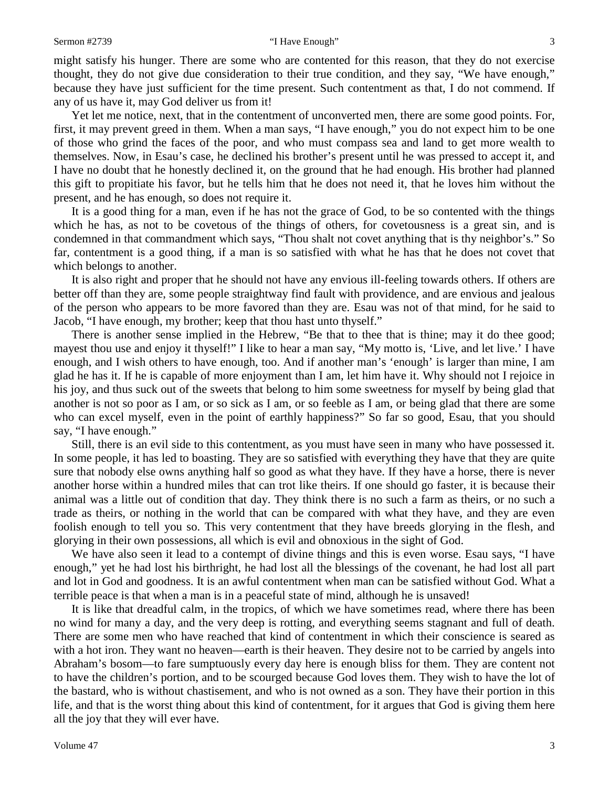#### Sermon #2739 **"I Have Enough"** 3

might satisfy his hunger. There are some who are contented for this reason, that they do not exercise thought, they do not give due consideration to their true condition, and they say, "We have enough," because they have just sufficient for the time present. Such contentment as that, I do not commend. If any of us have it, may God deliver us from it!

Yet let me notice, next, that in the contentment of unconverted men, there are some good points. For, first, it may prevent greed in them. When a man says, "I have enough," you do not expect him to be one of those who grind the faces of the poor, and who must compass sea and land to get more wealth to themselves. Now, in Esau's case, he declined his brother's present until he was pressed to accept it, and I have no doubt that he honestly declined it, on the ground that he had enough. His brother had planned this gift to propitiate his favor, but he tells him that he does not need it, that he loves him without the present, and he has enough, so does not require it.

It is a good thing for a man, even if he has not the grace of God, to be so contented with the things which he has, as not to be covetous of the things of others, for covetousness is a great sin, and is condemned in that commandment which says, "Thou shalt not covet anything that is thy neighbor's." So far, contentment is a good thing, if a man is so satisfied with what he has that he does not covet that which belongs to another.

It is also right and proper that he should not have any envious ill-feeling towards others. If others are better off than they are, some people straightway find fault with providence, and are envious and jealous of the person who appears to be more favored than they are. Esau was not of that mind, for he said to Jacob, "I have enough, my brother; keep that thou hast unto thyself."

There is another sense implied in the Hebrew, "Be that to thee that is thine; may it do thee good; mayest thou use and enjoy it thyself!" I like to hear a man say, "My motto is, 'Live, and let live.' I have enough, and I wish others to have enough, too. And if another man's 'enough' is larger than mine, I am glad he has it. If he is capable of more enjoyment than I am, let him have it. Why should not I rejoice in his joy, and thus suck out of the sweets that belong to him some sweetness for myself by being glad that another is not so poor as I am, or so sick as I am, or so feeble as I am, or being glad that there are some who can excel myself, even in the point of earthly happiness?" So far so good, Esau, that you should say, "I have enough."

Still, there is an evil side to this contentment, as you must have seen in many who have possessed it. In some people, it has led to boasting. They are so satisfied with everything they have that they are quite sure that nobody else owns anything half so good as what they have. If they have a horse, there is never another horse within a hundred miles that can trot like theirs. If one should go faster, it is because their animal was a little out of condition that day. They think there is no such a farm as theirs, or no such a trade as theirs, or nothing in the world that can be compared with what they have, and they are even foolish enough to tell you so. This very contentment that they have breeds glorying in the flesh, and glorying in their own possessions, all which is evil and obnoxious in the sight of God.

We have also seen it lead to a contempt of divine things and this is even worse. Esau says, "I have enough," yet he had lost his birthright, he had lost all the blessings of the covenant, he had lost all part and lot in God and goodness. It is an awful contentment when man can be satisfied without God. What a terrible peace is that when a man is in a peaceful state of mind, although he is unsaved!

It is like that dreadful calm, in the tropics, of which we have sometimes read, where there has been no wind for many a day, and the very deep is rotting, and everything seems stagnant and full of death. There are some men who have reached that kind of contentment in which their conscience is seared as with a hot iron. They want no heaven—earth is their heaven. They desire not to be carried by angels into Abraham's bosom—to fare sumptuously every day here is enough bliss for them. They are content not to have the children's portion, and to be scourged because God loves them. They wish to have the lot of the bastard, who is without chastisement, and who is not owned as a son. They have their portion in this life, and that is the worst thing about this kind of contentment, for it argues that God is giving them here all the joy that they will ever have.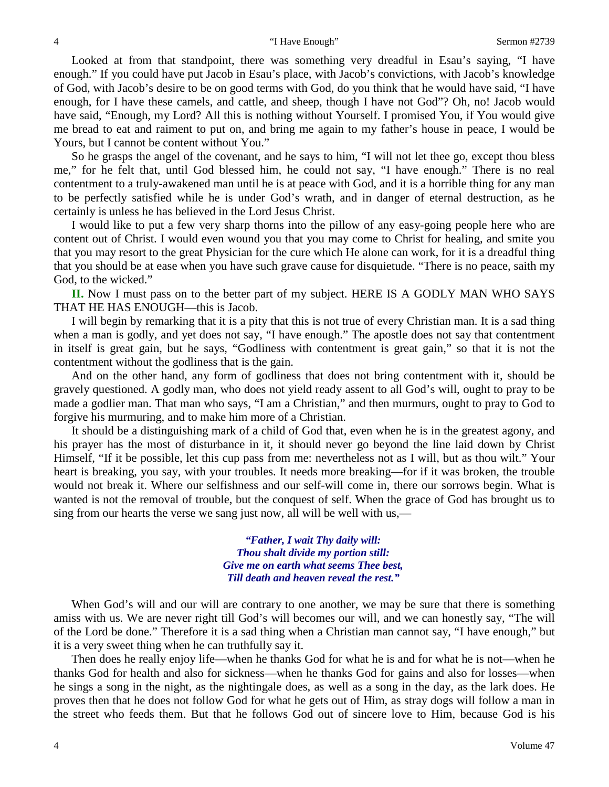Looked at from that standpoint, there was something very dreadful in Esau's saying, "I have enough." If you could have put Jacob in Esau's place, with Jacob's convictions, with Jacob's knowledge of God, with Jacob's desire to be on good terms with God, do you think that he would have said, "I have enough, for I have these camels, and cattle, and sheep, though I have not God"? Oh, no! Jacob would have said, "Enough, my Lord? All this is nothing without Yourself. I promised You, if You would give me bread to eat and raiment to put on, and bring me again to my father's house in peace, I would be Yours, but I cannot be content without You."

So he grasps the angel of the covenant, and he says to him, "I will not let thee go, except thou bless me," for he felt that, until God blessed him, he could not say, "I have enough." There is no real contentment to a truly-awakened man until he is at peace with God, and it is a horrible thing for any man to be perfectly satisfied while he is under God's wrath, and in danger of eternal destruction, as he certainly is unless he has believed in the Lord Jesus Christ.

I would like to put a few very sharp thorns into the pillow of any easy-going people here who are content out of Christ. I would even wound you that you may come to Christ for healing, and smite you that you may resort to the great Physician for the cure which He alone can work, for it is a dreadful thing that you should be at ease when you have such grave cause for disquietude. "There is no peace, saith my God, to the wicked."

**II.** Now I must pass on to the better part of my subject. HERE IS A GODLY MAN WHO SAYS THAT HE HAS ENOUGH—this is Jacob.

I will begin by remarking that it is a pity that this is not true of every Christian man. It is a sad thing when a man is godly, and yet does not say, "I have enough." The apostle does not say that contentment in itself is great gain, but he says, "Godliness with contentment is great gain," so that it is not the contentment without the godliness that is the gain.

And on the other hand, any form of godliness that does not bring contentment with it, should be gravely questioned. A godly man, who does not yield ready assent to all God's will, ought to pray to be made a godlier man. That man who says, "I am a Christian," and then murmurs, ought to pray to God to forgive his murmuring, and to make him more of a Christian.

It should be a distinguishing mark of a child of God that, even when he is in the greatest agony, and his prayer has the most of disturbance in it, it should never go beyond the line laid down by Christ Himself, "If it be possible, let this cup pass from me: nevertheless not as I will, but as thou wilt." Your heart is breaking, you say, with your troubles. It needs more breaking—for if it was broken, the trouble would not break it. Where our selfishness and our self-will come in, there our sorrows begin. What is wanted is not the removal of trouble, but the conquest of self. When the grace of God has brought us to sing from our hearts the verse we sang just now, all will be well with us,—

> *"Father, I wait Thy daily will: Thou shalt divide my portion still: Give me on earth what seems Thee best, Till death and heaven reveal the rest."*

When God's will and our will are contrary to one another, we may be sure that there is something amiss with us. We are never right till God's will becomes our will, and we can honestly say, "The will of the Lord be done." Therefore it is a sad thing when a Christian man cannot say, "I have enough," but it is a very sweet thing when he can truthfully say it.

Then does he really enjoy life—when he thanks God for what he is and for what he is not—when he thanks God for health and also for sickness—when he thanks God for gains and also for losses—when he sings a song in the night, as the nightingale does, as well as a song in the day, as the lark does. He proves then that he does not follow God for what he gets out of Him, as stray dogs will follow a man in the street who feeds them. But that he follows God out of sincere love to Him, because God is his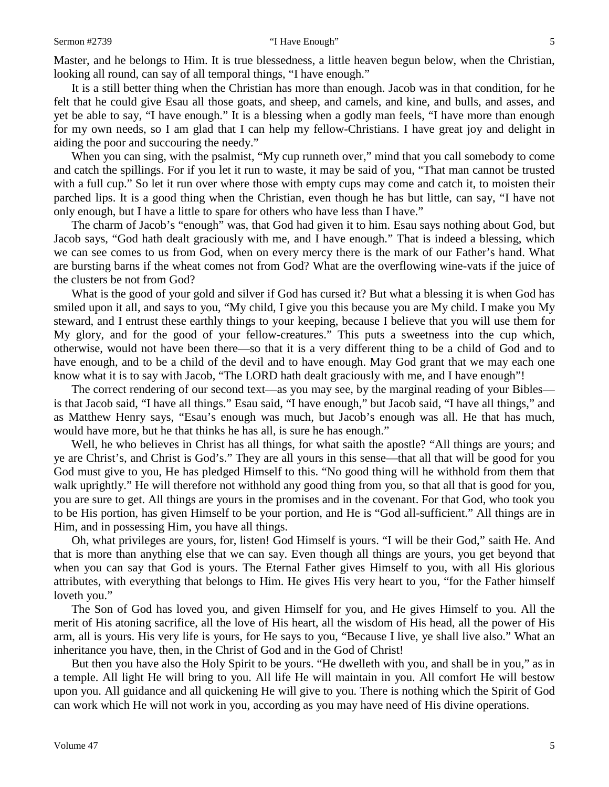### Sermon #2739 **"I Have Enough"** 5

Master, and he belongs to Him. It is true blessedness, a little heaven begun below, when the Christian, looking all round, can say of all temporal things, "I have enough."

It is a still better thing when the Christian has more than enough. Jacob was in that condition, for he felt that he could give Esau all those goats, and sheep, and camels, and kine, and bulls, and asses, and yet be able to say, "I have enough." It is a blessing when a godly man feels, "I have more than enough for my own needs, so I am glad that I can help my fellow-Christians. I have great joy and delight in aiding the poor and succouring the needy."

When you can sing, with the psalmist, "My cup runneth over," mind that you call somebody to come and catch the spillings. For if you let it run to waste, it may be said of you, "That man cannot be trusted with a full cup." So let it run over where those with empty cups may come and catch it, to moisten their parched lips. It is a good thing when the Christian, even though he has but little, can say, "I have not only enough, but I have a little to spare for others who have less than I have."

The charm of Jacob's "enough" was, that God had given it to him. Esau says nothing about God, but Jacob says, "God hath dealt graciously with me, and I have enough." That is indeed a blessing, which we can see comes to us from God, when on every mercy there is the mark of our Father's hand. What are bursting barns if the wheat comes not from God? What are the overflowing wine-vats if the juice of the clusters be not from God?

What is the good of your gold and silver if God has cursed it? But what a blessing it is when God has smiled upon it all, and says to you, "My child, I give you this because you are My child. I make you My steward, and I entrust these earthly things to your keeping, because I believe that you will use them for My glory, and for the good of your fellow-creatures." This puts a sweetness into the cup which, otherwise, would not have been there—so that it is a very different thing to be a child of God and to have enough, and to be a child of the devil and to have enough. May God grant that we may each one know what it is to say with Jacob, "The LORD hath dealt graciously with me, and I have enough"!

The correct rendering of our second text—as you may see, by the marginal reading of your Bibles is that Jacob said, "I have all things." Esau said, "I have enough," but Jacob said, "I have all things," and as Matthew Henry says, "Esau's enough was much, but Jacob's enough was all. He that has much, would have more, but he that thinks he has all, is sure he has enough."

Well, he who believes in Christ has all things, for what saith the apostle? "All things are yours; and ye are Christ's, and Christ is God's." They are all yours in this sense—that all that will be good for you God must give to you, He has pledged Himself to this. "No good thing will he withhold from them that walk uprightly." He will therefore not withhold any good thing from you, so that all that is good for you, you are sure to get. All things are yours in the promises and in the covenant. For that God, who took you to be His portion, has given Himself to be your portion, and He is "God all-sufficient." All things are in Him, and in possessing Him, you have all things.

Oh, what privileges are yours, for, listen! God Himself is yours. "I will be their God," saith He. And that is more than anything else that we can say. Even though all things are yours, you get beyond that when you can say that God is yours. The Eternal Father gives Himself to you, with all His glorious attributes, with everything that belongs to Him. He gives His very heart to you, "for the Father himself loveth you."

The Son of God has loved you, and given Himself for you, and He gives Himself to you. All the merit of His atoning sacrifice, all the love of His heart, all the wisdom of His head, all the power of His arm, all is yours. His very life is yours, for He says to you, "Because I live, ye shall live also." What an inheritance you have, then, in the Christ of God and in the God of Christ!

But then you have also the Holy Spirit to be yours. "He dwelleth with you, and shall be in you," as in a temple. All light He will bring to you. All life He will maintain in you. All comfort He will bestow upon you. All guidance and all quickening He will give to you. There is nothing which the Spirit of God can work which He will not work in you, according as you may have need of His divine operations.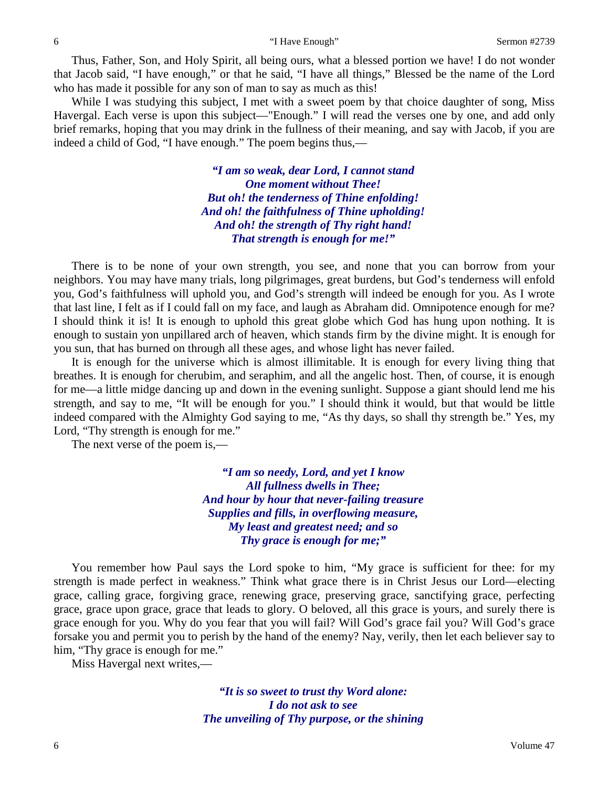Thus, Father, Son, and Holy Spirit, all being ours, what a blessed portion we have! I do not wonder that Jacob said, "I have enough," or that he said, "I have all things," Blessed be the name of the Lord who has made it possible for any son of man to say as much as this!

While I was studying this subject, I met with a sweet poem by that choice daughter of song, Miss Havergal. Each verse is upon this subject—"Enough." I will read the verses one by one, and add only brief remarks, hoping that you may drink in the fullness of their meaning, and say with Jacob, if you are indeed a child of God, "I have enough." The poem begins thus,—

> *"I am so weak, dear Lord, I cannot stand One moment without Thee! But oh! the tenderness of Thine enfolding! And oh! the faithfulness of Thine upholding! And oh! the strength of Thy right hand! That strength is enough for me!"*

There is to be none of your own strength, you see, and none that you can borrow from your neighbors. You may have many trials, long pilgrimages, great burdens, but God's tenderness will enfold you, God's faithfulness will uphold you, and God's strength will indeed be enough for you. As I wrote that last line, I felt as if I could fall on my face, and laugh as Abraham did. Omnipotence enough for me? I should think it is! It is enough to uphold this great globe which God has hung upon nothing. It is enough to sustain yon unpillared arch of heaven, which stands firm by the divine might. It is enough for you sun, that has burned on through all these ages, and whose light has never failed.

It is enough for the universe which is almost illimitable. It is enough for every living thing that breathes. It is enough for cherubim, and seraphim, and all the angelic host. Then, of course, it is enough for me—a little midge dancing up and down in the evening sunlight. Suppose a giant should lend me his strength, and say to me, "It will be enough for you." I should think it would, but that would be little indeed compared with the Almighty God saying to me, "As thy days, so shall thy strength be." Yes, my Lord, "Thy strength is enough for me."

The next verse of the poem is,—

*"I am so needy, Lord, and yet I know All fullness dwells in Thee; And hour by hour that never-failing treasure Supplies and fills, in overflowing measure, My least and greatest need; and so Thy grace is enough for me;"*

You remember how Paul says the Lord spoke to him, "My grace is sufficient for thee: for my strength is made perfect in weakness." Think what grace there is in Christ Jesus our Lord—electing grace, calling grace, forgiving grace, renewing grace, preserving grace, sanctifying grace, perfecting grace, grace upon grace, grace that leads to glory. O beloved, all this grace is yours, and surely there is grace enough for you. Why do you fear that you will fail? Will God's grace fail you? Will God's grace forsake you and permit you to perish by the hand of the enemy? Nay, verily, then let each believer say to him, "Thy grace is enough for me."

Miss Havergal next writes,—

*"It is so sweet to trust thy Word alone: I do not ask to see The unveiling of Thy purpose, or the shining*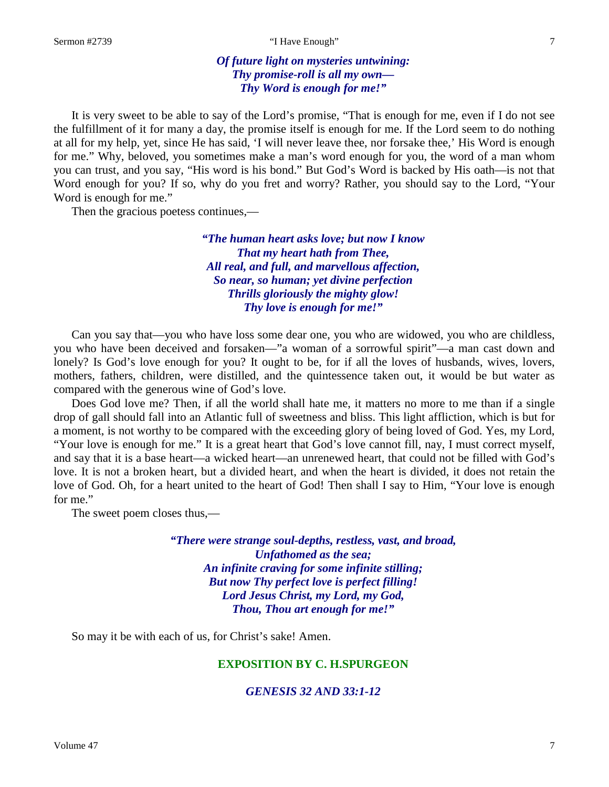### Sermon #2739 **T** Thave Enough "I' Have Enough" 7

## *Of future light on mysteries untwining: Thy promise-roll is all my own— Thy Word is enough for me!"*

It is very sweet to be able to say of the Lord's promise, "That is enough for me, even if I do not see the fulfillment of it for many a day, the promise itself is enough for me. If the Lord seem to do nothing at all for my help, yet, since He has said, 'I will never leave thee, nor forsake thee,' His Word is enough for me." Why, beloved, you sometimes make a man's word enough for you, the word of a man whom you can trust, and you say, "His word is his bond." But God's Word is backed by His oath—is not that Word enough for you? If so, why do you fret and worry? Rather, you should say to the Lord, "Your Word is enough for me."

Then the gracious poetess continues,—

*"The human heart asks love; but now I know That my heart hath from Thee, All real, and full, and marvellous affection, So near, so human; yet divine perfection Thrills gloriously the mighty glow! Thy love is enough for me!"*

Can you say that—you who have loss some dear one, you who are widowed, you who are childless, you who have been deceived and forsaken—"a woman of a sorrowful spirit"—a man cast down and lonely? Is God's love enough for you? It ought to be, for if all the loves of husbands, wives, lovers, mothers, fathers, children, were distilled, and the quintessence taken out, it would be but water as compared with the generous wine of God's love.

Does God love me? Then, if all the world shall hate me, it matters no more to me than if a single drop of gall should fall into an Atlantic full of sweetness and bliss. This light affliction, which is but for a moment, is not worthy to be compared with the exceeding glory of being loved of God. Yes, my Lord, "Your love is enough for me." It is a great heart that God's love cannot fill, nay, I must correct myself, and say that it is a base heart—a wicked heart—an unrenewed heart, that could not be filled with God's love. It is not a broken heart, but a divided heart, and when the heart is divided, it does not retain the love of God. Oh, for a heart united to the heart of God! Then shall I say to Him, "Your love is enough for me."

The sweet poem closes thus,—

*"There were strange soul-depths, restless, vast, and broad, Unfathomed as the sea; An infinite craving for some infinite stilling; But now Thy perfect love is perfect filling! Lord Jesus Christ, my Lord, my God, Thou, Thou art enough for me!"*

So may it be with each of us, for Christ's sake! Amen.

## **EXPOSITION BY C. H.SPURGEON**

## *GENESIS 32 AND 33:1-12*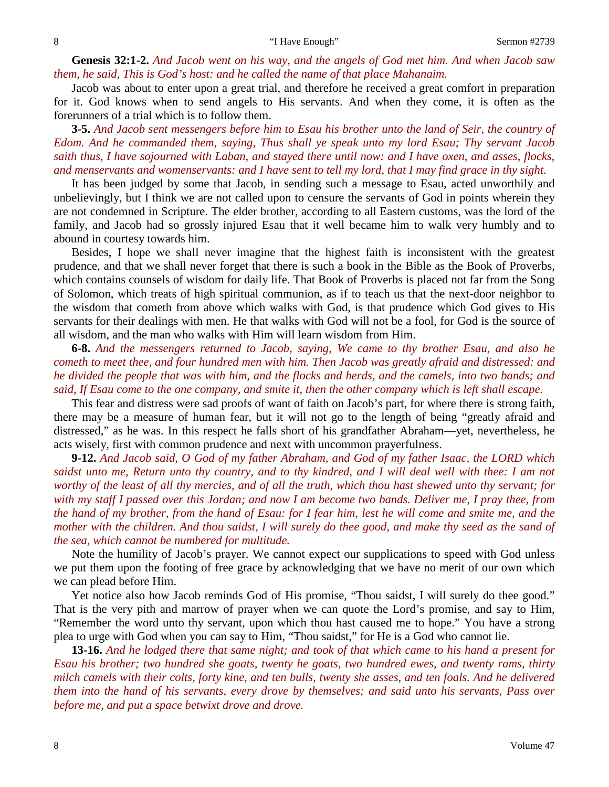**Genesis 32:1-2.** *And Jacob went on his way, and the angels of God met him. And when Jacob saw them, he said, This is God's host: and he called the name of that place Mahanaim.*

Jacob was about to enter upon a great trial, and therefore he received a great comfort in preparation for it. God knows when to send angels to His servants. And when they come, it is often as the forerunners of a trial which is to follow them.

**3-5.** *And Jacob sent messengers before him to Esau his brother unto the land of Seir, the country of Edom. And he commanded them, saying, Thus shall ye speak unto my lord Esau; Thy servant Jacob saith thus, I have sojourned with Laban, and stayed there until now: and I have oxen, and asses, flocks, and menservants and womenservants: and I have sent to tell my lord, that I may find grace in thy sight.*

It has been judged by some that Jacob, in sending such a message to Esau, acted unworthily and unbelievingly, but I think we are not called upon to censure the servants of God in points wherein they are not condemned in Scripture. The elder brother, according to all Eastern customs, was the lord of the family, and Jacob had so grossly injured Esau that it well became him to walk very humbly and to abound in courtesy towards him.

Besides, I hope we shall never imagine that the highest faith is inconsistent with the greatest prudence, and that we shall never forget that there is such a book in the Bible as the Book of Proverbs, which contains counsels of wisdom for daily life. That Book of Proverbs is placed not far from the Song of Solomon, which treats of high spiritual communion, as if to teach us that the next-door neighbor to the wisdom that cometh from above which walks with God, is that prudence which God gives to His servants for their dealings with men. He that walks with God will not be a fool, for God is the source of all wisdom, and the man who walks with Him will learn wisdom from Him.

**6-8.** *And the messengers returned to Jacob, saying, We came to thy brother Esau, and also he cometh to meet thee, and four hundred men with him. Then Jacob was greatly afraid and distressed: and he divided the people that was with him, and the flocks and herds, and the camels, into two bands; and said, If Esau come to the one company, and smite it, then the other company which is left shall escape.*

This fear and distress were sad proofs of want of faith on Jacob's part, for where there is strong faith, there may be a measure of human fear, but it will not go to the length of being "greatly afraid and distressed," as he was. In this respect he falls short of his grandfather Abraham—yet, nevertheless, he acts wisely, first with common prudence and next with uncommon prayerfulness.

**9-12.** *And Jacob said, O God of my father Abraham, and God of my father Isaac, the LORD which saidst unto me, Return unto thy country, and to thy kindred, and I will deal well with thee: I am not worthy of the least of all thy mercies, and of all the truth, which thou hast shewed unto thy servant; for with my staff I passed over this Jordan; and now I am become two bands. Deliver me, I pray thee, from the hand of my brother, from the hand of Esau: for I fear him, lest he will come and smite me, and the mother with the children. And thou saidst, I will surely do thee good, and make thy seed as the sand of the sea, which cannot be numbered for multitude.*

Note the humility of Jacob's prayer. We cannot expect our supplications to speed with God unless we put them upon the footing of free grace by acknowledging that we have no merit of our own which we can plead before Him.

Yet notice also how Jacob reminds God of His promise, "Thou saidst, I will surely do thee good." That is the very pith and marrow of prayer when we can quote the Lord's promise, and say to Him, "Remember the word unto thy servant, upon which thou hast caused me to hope." You have a strong plea to urge with God when you can say to Him, "Thou saidst," for He is a God who cannot lie.

**13-16.** *And he lodged there that same night; and took of that which came to his hand a present for Esau his brother; two hundred she goats, twenty he goats, two hundred ewes, and twenty rams, thirty milch camels with their colts, forty kine, and ten bulls, twenty she asses, and ten foals. And he delivered them into the hand of his servants, every drove by themselves; and said unto his servants, Pass over before me, and put a space betwixt drove and drove.*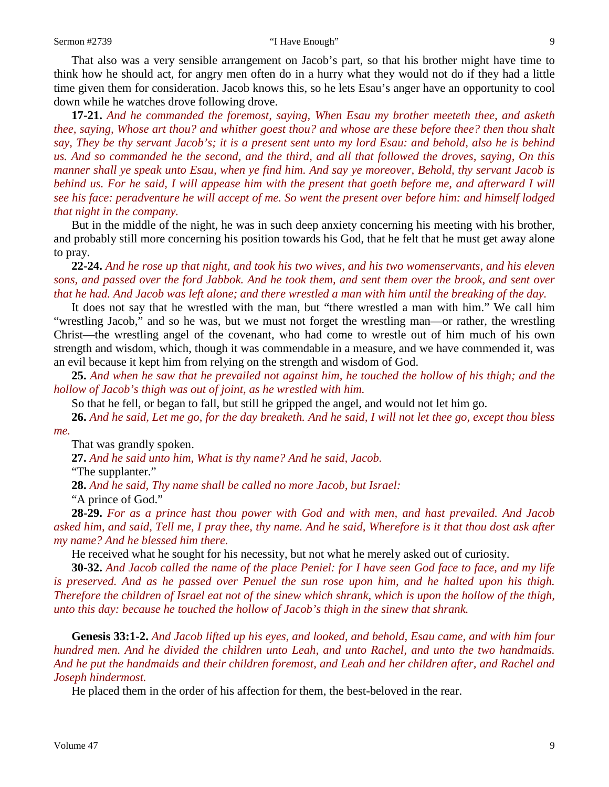#### Sermon #2739 **"I Have Enough"** 9

That also was a very sensible arrangement on Jacob's part, so that his brother might have time to think how he should act, for angry men often do in a hurry what they would not do if they had a little time given them for consideration. Jacob knows this, so he lets Esau's anger have an opportunity to cool down while he watches drove following drove.

**17-21.** *And he commanded the foremost, saying, When Esau my brother meeteth thee, and asketh thee, saying, Whose art thou? and whither goest thou? and whose are these before thee? then thou shalt say, They be thy servant Jacob's; it is a present sent unto my lord Esau: and behold, also he is behind us. And so commanded he the second, and the third, and all that followed the droves, saying, On this manner shall ye speak unto Esau, when ye find him. And say ye moreover, Behold, thy servant Jacob is behind us. For he said, I will appease him with the present that goeth before me, and afterward I will see his face: peradventure he will accept of me. So went the present over before him: and himself lodged that night in the company.*

But in the middle of the night, he was in such deep anxiety concerning his meeting with his brother, and probably still more concerning his position towards his God, that he felt that he must get away alone to pray.

**22-24.** *And he rose up that night, and took his two wives, and his two womenservants, and his eleven sons, and passed over the ford Jabbok. And he took them, and sent them over the brook, and sent over that he had. And Jacob was left alone; and there wrestled a man with him until the breaking of the day.*

It does not say that he wrestled with the man, but "there wrestled a man with him." We call him "wrestling Jacob," and so he was, but we must not forget the wrestling man—or rather, the wrestling Christ—the wrestling angel of the covenant, who had come to wrestle out of him much of his own strength and wisdom, which, though it was commendable in a measure, and we have commended it, was an evil because it kept him from relying on the strength and wisdom of God.

**25.** *And when he saw that he prevailed not against him, he touched the hollow of his thigh; and the hollow of Jacob's thigh was out of joint, as he wrestled with him.*

So that he fell, or began to fall, but still he gripped the angel, and would not let him go.

**26.** *And he said, Let me go, for the day breaketh. And he said, I will not let thee go, except thou bless me.*

That was grandly spoken.

**27.** *And he said unto him, What is thy name? And he said, Jacob.*

"The supplanter."

**28.** *And he said, Thy name shall be called no more Jacob, but Israel:*

"A prince of God."

**28-29.** *For as a prince hast thou power with God and with men, and hast prevailed. And Jacob asked him, and said, Tell me, I pray thee, thy name. And he said, Wherefore is it that thou dost ask after my name? And he blessed him there.*

He received what he sought for his necessity, but not what he merely asked out of curiosity.

**30-32.** *And Jacob called the name of the place Peniel: for I have seen God face to face, and my life is preserved. And as he passed over Penuel the sun rose upon him, and he halted upon his thigh. Therefore the children of Israel eat not of the sinew which shrank, which is upon the hollow of the thigh, unto this day: because he touched the hollow of Jacob's thigh in the sinew that shrank.*

**Genesis 33:1-2.** *And Jacob lifted up his eyes, and looked, and behold, Esau came, and with him four hundred men. And he divided the children unto Leah, and unto Rachel, and unto the two handmaids. And he put the handmaids and their children foremost, and Leah and her children after, and Rachel and Joseph hindermost.*

He placed them in the order of his affection for them, the best-beloved in the rear.